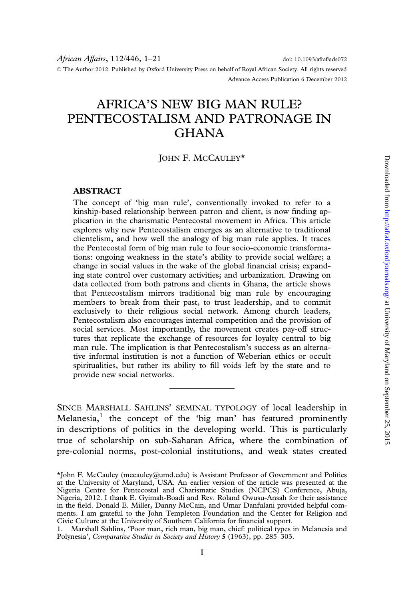African Affairs, 112/446, 1-21 doi: 10.1093/afraf/ads072

© The Author 2012. Published by Oxford University Press on behalf of Royal African Society. All rights reserved Advance Access Publication 6 December 2012

# AFRICA'S NEW BIG MAN RULE? PENTECOSTALISM AND PATRONAGE IN **GHANA**

# JOHN F. MCCAULEY\*

## ABSTRACT

The concept of 'big man rule', conventionally invoked to refer to a kinship-based relationship between patron and client, is now finding application in the charismatic Pentecostal movement in Africa. This article explores why new Pentecostalism emerges as an alternative to traditional clientelism, and how well the analogy of big man rule applies. It traces the Pentecostal form of big man rule to four socio-economic transformations: ongoing weakness in the state's ability to provide social welfare; a change in social values in the wake of the global financial crisis; expanding state control over customary activities; and urbanization. Drawing on data collected from both patrons and clients in Ghana, the article shows that Pentecostalism mirrors traditional big man rule by encouraging members to break from their past, to trust leadership, and to commit exclusively to their religious social network. Among church leaders, Pentecostalism also encourages internal competition and the provision of social services. Most importantly, the movement creates pay-off structures that replicate the exchange of resources for loyalty central to big man rule. The implication is that Pentecostalism's success as an alternative informal institution is not a function of Weberian ethics or occult spiritualities, but rather its ability to fill voids left by the state and to provide new social networks.

SINCE MARSHALL SAHLINS' SEMINAL TYPOLOGY of local leadership in Melanesia, $<sup>1</sup>$  the concept of the 'big man' has featured prominently</sup> in descriptions of politics in the developing world. This is particularly true of scholarship on sub-Saharan Africa, where the combination of pre-colonial norms, post-colonial institutions, and weak states created

<sup>\*</sup>John F. McCauley (mccauley@umd.edu) is Assistant Professor of Government and Politics at the University of Maryland, USA. An earlier version of the article was presented at the Nigeria Centre for Pentecostal and Charismatic Studies (NCPCS) Conference, Abuja, Nigeria, 2012. I thank E. Gyimah-Boadi and Rev. Roland Owusu-Ansah for their assistance in the field. Donald E. Miller, Danny McCain, and Umar Danfulani provided helpful comments. I am grateful to the John Templeton Foundation and the Center for Religion and Civic Culture at the University of Southern California for financial support.

<sup>1.</sup> Marshall Sahlins, 'Poor man, rich man, big man, chief: political types in Melanesia and Polynesia', Comparative Studies in Society and History 5 (1963), pp. 285–303.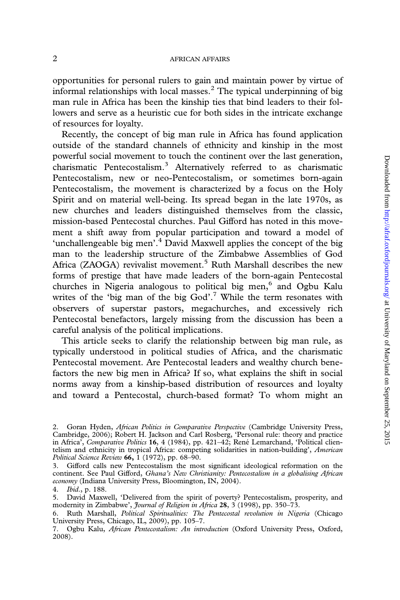#### 2 AFRICAN AFFAIRS

opportunities for personal rulers to gain and maintain power by virtue of informal relationships with local masses.<sup>2</sup> The typical underpinning of big man rule in Africa has been the kinship ties that bind leaders to their followers and serve as a heuristic cue for both sides in the intricate exchange of resources for loyalty.

Recently, the concept of big man rule in Africa has found application outside of the standard channels of ethnicity and kinship in the most powerful social movement to touch the continent over the last generation, charismatic Pentecostalism.<sup>3</sup> Alternatively referred to as charismatic Pentecostalism, new or neo-Pentecostalism, or sometimes born-again Pentecostalism, the movement is characterized by a focus on the Holy Spirit and on material well-being. Its spread began in the late 1970s, as new churches and leaders distinguished themselves from the classic, mission-based Pentecostal churches. Paul Gifford has noted in this movement a shift away from popular participation and toward a model of 'unchallengeable big men'.<sup>4</sup> David Maxwell applies the concept of the big man to the leadership structure of the Zimbabwe Assemblies of God Africa (ZAOGA) revivalist movement.<sup>5</sup> Ruth Marshall describes the new forms of prestige that have made leaders of the born-again Pentecostal churches in Nigeria analogous to political big men, $6$  and Ogbu Kalu writes of the 'big man of the big God'.<sup>7</sup> While the term resonates with observers of superstar pastors, megachurches, and excessively rich Pentecostal benefactors, largely missing from the discussion has been a careful analysis of the political implications.

This article seeks to clarify the relationship between big man rule, as typically understood in political studies of Africa, and the charismatic Pentecostal movement. Are Pentecostal leaders and wealthy church benefactors the new big men in Africa? If so, what explains the shift in social norms away from a kinship-based distribution of resources and loyalty and toward a Pentecostal, church-based format? To whom might an

<sup>2.</sup> Goran Hyden, African Politics in Comparative Perspective (Cambridge University Press, Cambridge, 2006); Robert H. Jackson and Carl Rosberg, 'Personal rule: theory and practice in Africa', Comparative Politics 16, 4 (1984), pp. 421–42; René Lemarchand, 'Political clientelism and ethnicity in tropical Africa: competing solidarities in nation-building', American Political Science Review 66, 1 (1972), pp. 68–90.

<sup>3.</sup> Gifford calls new Pentecostalism the most significant ideological reformation on the continent. See Paul Gifford, Ghana's New Christianity: Pentecostalism in a globalising African economy (Indiana University Press, Bloomington, IN, 2004).

<sup>4.</sup> Ibid., p. 188.

<sup>5.</sup> David Maxwell, 'Delivered from the spirit of poverty? Pentecostalism, prosperity, and modernity in Zimbabwe', *Journal of Religion in Africa* 28, 3 (1998), pp. 350–73.

<sup>6.</sup> Ruth Marshall, Political Spiritualities: The Pentecostal revolution in Nigeria (Chicago University Press, Chicago, IL, 2009), pp. 105–7.

<sup>7.</sup> Ogbu Kalu, African Pentecostalism: An introduction (Oxford University Press, Oxford, 2008).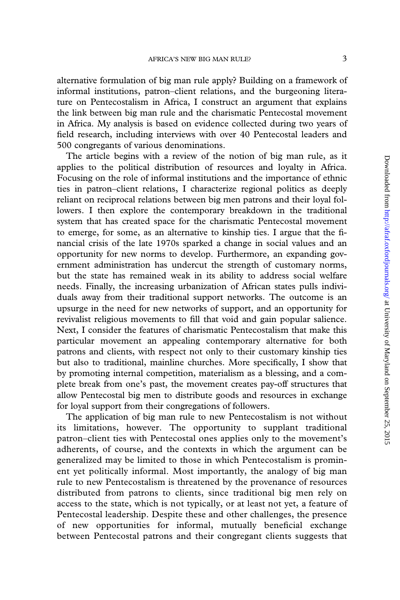alternative formulation of big man rule apply? Building on a framework of informal institutions, patron–client relations, and the burgeoning literature on Pentecostalism in Africa, I construct an argument that explains the link between big man rule and the charismatic Pentecostal movement in Africa. My analysis is based on evidence collected during two years of field research, including interviews with over 40 Pentecostal leaders and 500 congregants of various denominations.

The article begins with a review of the notion of big man rule, as it applies to the political distribution of resources and loyalty in Africa. Focusing on the role of informal institutions and the importance of ethnic ties in patron–client relations, I characterize regional politics as deeply reliant on reciprocal relations between big men patrons and their loyal followers. I then explore the contemporary breakdown in the traditional system that has created space for the charismatic Pentecostal movement to emerge, for some, as an alternative to kinship ties. I argue that the financial crisis of the late 1970s sparked a change in social values and an opportunity for new norms to develop. Furthermore, an expanding government administration has undercut the strength of customary norms, but the state has remained weak in its ability to address social welfare needs. Finally, the increasing urbanization of African states pulls individuals away from their traditional support networks. The outcome is an upsurge in the need for new networks of support, and an opportunity for revivalist religious movements to fill that void and gain popular salience. Next, I consider the features of charismatic Pentecostalism that make this particular movement an appealing contemporary alternative for both patrons and clients, with respect not only to their customary kinship ties but also to traditional, mainline churches. More specifically, I show that by promoting internal competition, materialism as a blessing, and a complete break from one's past, the movement creates pay-off structures that allow Pentecostal big men to distribute goods and resources in exchange for loyal support from their congregations of followers.

The application of big man rule to new Pentecostalism is not without its limitations, however. The opportunity to supplant traditional patron–client ties with Pentecostal ones applies only to the movement's adherents, of course, and the contexts in which the argument can be generalized may be limited to those in which Pentecostalism is prominent yet politically informal. Most importantly, the analogy of big man rule to new Pentecostalism is threatened by the provenance of resources distributed from patrons to clients, since traditional big men rely on access to the state, which is not typically, or at least not yet, a feature of Pentecostal leadership. Despite these and other challenges, the presence of new opportunities for informal, mutually beneficial exchange between Pentecostal patrons and their congregant clients suggests that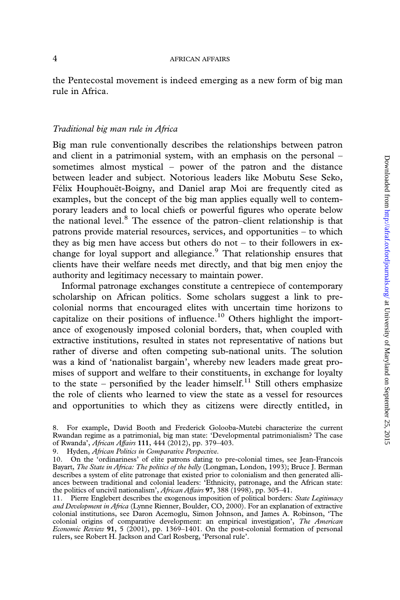the Pentecostal movement is indeed emerging as a new form of big man rule in Africa.

# Traditional big man rule in Africa

Big man rule conventionally describes the relationships between patron and client in a patrimonial system, with an emphasis on the personal – sometimes almost mystical – power of the patron and the distance between leader and subject. Notorious leaders like Mobutu Sese Seko, Félix Houphouët-Boigny, and Daniel arap Moi are frequently cited as examples, but the concept of the big man applies equally well to contemporary leaders and to local chiefs or powerful figures who operate below the national level.<sup>8</sup> The essence of the patron–client relationship is that patrons provide material resources, services, and opportunities – to which they as big men have access but others do not – to their followers in exchange for loyal support and allegiance.<sup>9</sup> That relationship ensures that clients have their welfare needs met directly, and that big men enjoy the authority and legitimacy necessary to maintain power.

Informal patronage exchanges constitute a centrepiece of contemporary scholarship on African politics. Some scholars suggest a link to precolonial norms that encouraged elites with uncertain time horizons to capitalize on their positions of influence.<sup>10</sup> Others highlight the importance of exogenously imposed colonial borders, that, when coupled with extractive institutions, resulted in states not representative of nations but rather of diverse and often competing sub-national units. The solution was a kind of 'nationalist bargain', whereby new leaders made great promises of support and welfare to their constituents, in exchange for loyalty to the state – personified by the leader himself.<sup>11</sup> Still others emphasize the role of clients who learned to view the state as a vessel for resources and opportunities to which they as citizens were directly entitled, in

<sup>8.</sup> For example, David Booth and Frederick Golooba-Mutebi characterize the current Rwandan regime as a patrimonial, big man state: 'Developmental patrimonialism? The case of Rwanda', African Affairs 111, 444 (2012), pp. 379–403.

<sup>9.</sup> Hyden, African Politics in Comparative Perspective.

<sup>10.</sup> On the 'ordinariness' of elite patrons dating to pre-colonial times, see Jean-Francois Bayart, The State in Africa: The politics of the belly (Longman, London, 1993); Bruce J. Berman describes a system of elite patronage that existed prior to colonialism and then generated alliances between traditional and colonial leaders: 'Ethnicity, patronage, and the African state: the politics of uncivil nationalism', African Affairs 97, 388 (1998), pp. 305-41.

<sup>11.</sup> Pierre Englebert describes the exogenous imposition of political borders: State Legitimacy and Development in Africa (Lynne Rienner, Boulder, CO, 2000). For an explanation of extractive colonial institutions, see Daron Acemoglu, Simon Johnson, and James A. Robinson, 'The colonial origins of comparative development: an empirical investigation', The American Economic Review 91, 5 (2001), pp. 1369–1401. On the post-colonial formation of personal rulers, see Robert H. Jackson and Carl Rosberg, 'Personal rule'.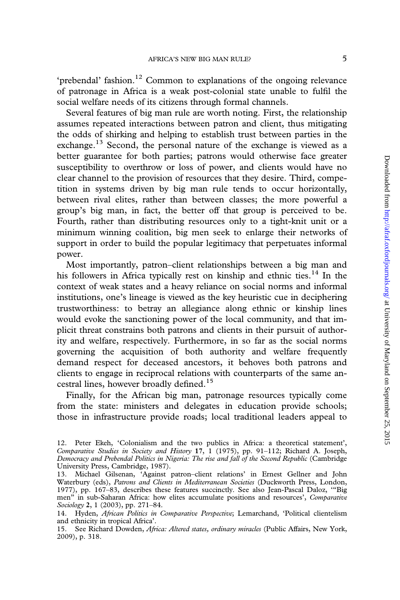'prebendal' fashion.<sup>12</sup> Common to explanations of the ongoing relevance of patronage in Africa is a weak post-colonial state unable to fulfil the social welfare needs of its citizens through formal channels.

Several features of big man rule are worth noting. First, the relationship assumes repeated interactions between patron and client, thus mitigating the odds of shirking and helping to establish trust between parties in the exchange.<sup>13</sup> Second, the personal nature of the exchange is viewed as a better guarantee for both parties; patrons would otherwise face greater susceptibility to overthrow or loss of power, and clients would have no clear channel to the provision of resources that they desire. Third, competition in systems driven by big man rule tends to occur horizontally, between rival elites, rather than between classes; the more powerful a group's big man, in fact, the better off that group is perceived to be. Fourth, rather than distributing resources only to a tight-knit unit or a minimum winning coalition, big men seek to enlarge their networks of support in order to build the popular legitimacy that perpetuates informal power.

Most importantly, patron–client relationships between a big man and his followers in Africa typically rest on kinship and ethnic ties.<sup>14</sup> In the context of weak states and a heavy reliance on social norms and informal institutions, one's lineage is viewed as the key heuristic cue in deciphering trustworthiness: to betray an allegiance along ethnic or kinship lines would evoke the sanctioning power of the local community, and that implicit threat constrains both patrons and clients in their pursuit of authority and welfare, respectively. Furthermore, in so far as the social norms governing the acquisition of both authority and welfare frequently demand respect for deceased ancestors, it behoves both patrons and clients to engage in reciprocal relations with counterparts of the same ancestral lines, however broadly defined.<sup>15</sup>

Finally, for the African big man, patronage resources typically come from the state: ministers and delegates in education provide schools; those in infrastructure provide roads; local traditional leaders appeal to

<sup>12.</sup> Peter Ekeh, 'Colonialism and the two publics in Africa: a theoretical statement', Comparative Studies in Society and History 17, 1 (1975), pp. 91–112; Richard A. Joseph, Democracy and Prebendal Politics in Nigeria: The rise and fall of the Second Republic (Cambridge University Press, Cambridge, 1987).

<sup>13.</sup> Michael Gilsenan, 'Against patron–client relations' in Ernest Gellner and John Waterbury (eds), Patrons and Clients in Mediterranean Societies (Duckworth Press, London, 1977), pp. 167–83, describes these features succinctly. See also Jean-Pascal Daloz, '"Big men" in sub-Saharan Africa: how elites accumulate positions and resources', Comparative Sociology 2, 1 (2003), pp. 271-84.

<sup>14.</sup> Hyden, African Politics in Comparative Perspective; Lemarchand, 'Political clientelism and ethnicity in tropical Africa'.

<sup>15.</sup> See Richard Dowden, Africa: Altered states, ordinary miracles (Public Affairs, New York, 2009), p. 318.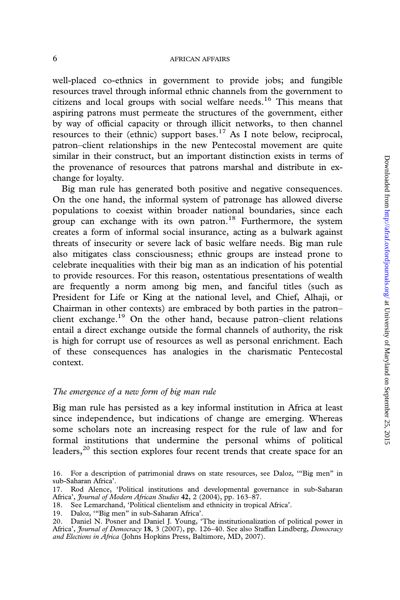#### 6 AFRICAN AFFAIRS

well-placed co-ethnics in government to provide jobs; and fungible resources travel through informal ethnic channels from the government to citizens and local groups with social welfare needs.<sup>16</sup> This means that aspiring patrons must permeate the structures of the government, either by way of official capacity or through illicit networks, to then channel resources to their (ethnic) support bases.<sup>17</sup> As I note below, reciprocal, patron–client relationships in the new Pentecostal movement are quite similar in their construct, but an important distinction exists in terms of the provenance of resources that patrons marshal and distribute in exchange for loyalty.

Big man rule has generated both positive and negative consequences. On the one hand, the informal system of patronage has allowed diverse populations to coexist within broader national boundaries, since each group can exchange with its own patron.<sup>18</sup> Furthermore, the system creates a form of informal social insurance, acting as a bulwark against threats of insecurity or severe lack of basic welfare needs. Big man rule also mitigates class consciousness; ethnic groups are instead prone to celebrate inequalities with their big man as an indication of his potential to provide resources. For this reason, ostentatious presentations of wealth are frequently a norm among big men, and fanciful titles (such as President for Life or King at the national level, and Chief, Alhaji, or Chairman in other contexts) are embraced by both parties in the patron– client exchange.<sup>19</sup> On the other hand, because patron–client relations entail a direct exchange outside the formal channels of authority, the risk is high for corrupt use of resources as well as personal enrichment. Each of these consequences has analogies in the charismatic Pentecostal context.

## The emergence of a new form of big man rule

Big man rule has persisted as a key informal institution in Africa at least since independence, but indications of change are emerging. Whereas some scholars note an increasing respect for the rule of law and for formal institutions that undermine the personal whims of political leaders, $^{20}$  this section explores four recent trends that create space for an

<sup>16.</sup> For a description of patrimonial draws on state resources, see Daloz, '"Big men" in sub-Saharan Africa'.

<sup>17.</sup> Rod Alence, 'Political institutions and developmental governance in sub-Saharan Africa', Journal of Modern African Studies 42, 2 (2004), pp. 163-87.

<sup>18.</sup> See Lemarchand, 'Political clientelism and ethnicity in tropical Africa'.

<sup>19.</sup> Daloz, '"Big men" in sub-Saharan Africa'.

<sup>20.</sup> Daniel N. Posner and Daniel J. Young, 'The institutionalization of political power in Africa', *Journal of Democracy* 18, 3 (2007), pp. 126-40. See also Staffan Lindberg, Democracy and Elections in Africa (Johns Hopkins Press, Baltimore, MD, 2007).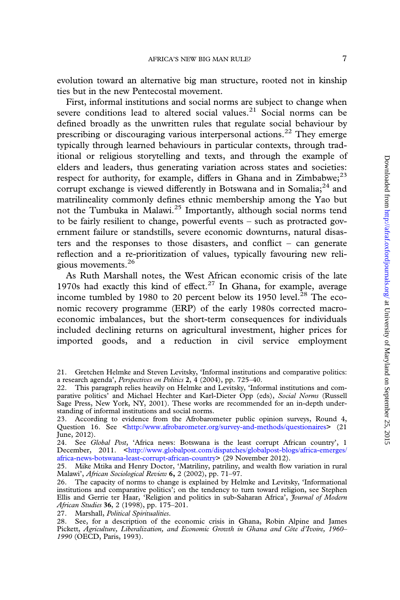evolution toward an alternative big man structure, rooted not in kinship ties but in the new Pentecostal movement.

First, informal institutions and social norms are subject to change when severe conditions lead to altered social values.<sup>21</sup> Social norms can be defined broadly as the unwritten rules that regulate social behaviour by prescribing or discouraging various interpersonal actions.<sup>22</sup> They emerge typically through learned behaviours in particular contexts, through traditional or religious storytelling and texts, and through the example of elders and leaders, thus generating variation across states and societies: respect for authority, for example, differs in Ghana and in Zimbabwe;<sup>23</sup> corrupt exchange is viewed differently in Botswana and in Somalia;<sup>24</sup> and matrilineality commonly defines ethnic membership among the Yao but not the Tumbuka in Malawi.<sup>25</sup> Importantly, although social norms tend to be fairly resilient to change, powerful events – such as protracted government failure or standstills, severe economic downturns, natural disasters and the responses to those disasters, and conflict – can generate reflection and a re-prioritization of values, typically favouring new religious movements.<sup>26</sup>

As Ruth Marshall notes, the West African economic crisis of the late 1970s had exactly this kind of effect.<sup>27</sup> In Ghana, for example, average income tumbled by 1980 to 20 percent below its 1950 level.<sup>28</sup> The economic recovery programme (ERP) of the early 1980s corrected macroeconomic imbalances, but the short-term consequences for individuals included declining returns on agricultural investment, higher prices for imported goods, and a reduction in civil service employment

<sup>21.</sup> Gretchen Helmke and Steven Levitsky, 'Informal institutions and comparative politics: a research agenda', Perspectives on Politics 2, 4 (2004), pp. 725–40.

<sup>22.</sup> This paragraph relies heavily on Helmke and Levitsky, 'Informal institutions and comparative politics' and Michael Hechter and Karl-Dieter Opp (eds), Social Norms (Russell Sage Press, New York, NY, 2001). These works are recommended for an in-depth understanding of informal institutions and social norms.

<sup>23.</sup> According to evidence from the Afrobarometer public opinion surveys, Round 4, Question 16. See <<http://www.afrobarometer.org/survey-and-methods/questionaires>> (21 June, 2012).

<sup>24.</sup> See Global Post, 'Africa news: Botswana is the least corrupt African country', 1 December, 2011. <[http://www.globalpost.com/dispatches/globalpost-blogs/africa-emerges/](http://www.globalpost.com/dispatches/globalpost-blogs/africa-emerges/africa-news-botswana-least-corrupt-african-country) [africa-news-botswana-least-corrupt-african-country>](http://www.globalpost.com/dispatches/globalpost-blogs/africa-emerges/africa-news-botswana-least-corrupt-african-country) (29 November 2012).

<sup>25.</sup> Mike Mtika and Henry Doctor, 'Matriliny, patriliny, and wealth flow variation in rural Malawi', African Sociological Review 6, 2 (2002), pp. 71–97.

<sup>26.</sup> The capacity of norms to change is explained by Helmke and Levitsky, 'Informational institutions and comparative politics'; on the tendency to turn toward religion, see Stephen Ellis and Gerrie ter Haar, 'Religion and politics in sub-Saharan Africa', *Journal of Modern* African Studies 36, 2 (1998), pp. 175–201.

<sup>27.</sup> Marshall, Political Spiritualities.

<sup>28.</sup> See, for a description of the economic crisis in Ghana, Robin Alpine and James Pickett, Agriculture, Liberalization, and Economic Growth in Ghana and Côte d'Ivoire, 1960– 1990 (OECD, Paris, 1993).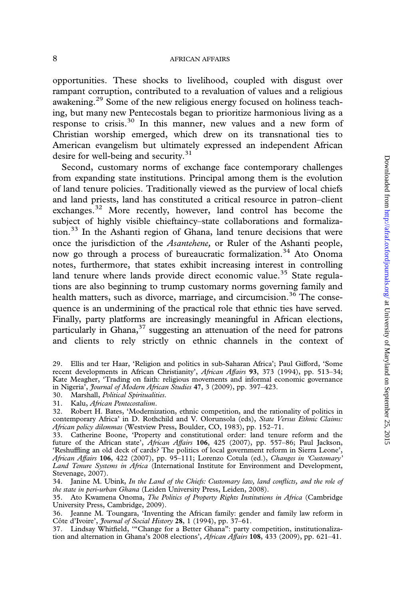#### 8 AFRICAN AFFAIRS

opportunities. These shocks to livelihood, coupled with disgust over rampant corruption, contributed to a revaluation of values and a religious awakening.<sup>29</sup> Some of the new religious energy focused on holiness teaching, but many new Pentecostals began to prioritize harmonious living as a response to crisis.<sup>30</sup> In this manner, new values and a new form of Christian worship emerged, which drew on its transnational ties to American evangelism but ultimately expressed an independent African desire for well-being and security.<sup>31</sup>

Second, customary norms of exchange face contemporary challenges from expanding state institutions. Principal among them is the evolution of land tenure policies. Traditionally viewed as the purview of local chiefs and land priests, land has constituted a critical resource in patron–client exchanges.<sup>32</sup> More recently, however, land control has become the subject of highly visible chieftaincy–state collaborations and formalization.<sup>33</sup> In the Ashanti region of Ghana, land tenure decisions that were once the jurisdiction of the Asantehene, or Ruler of the Ashanti people, now go through a process of bureaucratic formalization.<sup>34</sup> Ato Onoma notes, furthermore, that states exhibit increasing interest in controlling land tenure where lands provide direct economic value.<sup>35</sup> State regulations are also beginning to trump customary norms governing family and health matters, such as divorce, marriage, and circumcision.<sup>36</sup> The consequence is an undermining of the practical role that ethnic ties have served. Finally, party platforms are increasingly meaningful in African elections, particularly in Ghana, $37$  suggesting an attenuation of the need for patrons and clients to rely strictly on ethnic channels in the context of

<sup>29.</sup> Ellis and ter Haar, 'Religion and politics in sub-Saharan Africa'; Paul Gifford, 'Some recent developments in African Christianity', African Affairs 93, 373 (1994), pp. 513–34; Kate Meagher, 'Trading on faith: religious movements and informal economic governance in Nigeria<sup>Y</sup>, *Journal of Modern African Studies* 47, 3 (2009), pp. 397–423.<br>30. Marshall, *Political Spiritualities*.

<sup>30.</sup> Marshall, Political Spiritualities.<br>31. Kalu, African Pentecostalism.

Kalu, African Pentecostalism.

<sup>32.</sup> Robert H. Bates, 'Modernization, ethnic competition, and the rationality of politics in contemporary Africa' in D. Rothchild and V. Olorunsola (eds), State Versus Ethnic Claims: African policy dilemmas (Westview Press, Boulder, CO, 1983), pp. 152–71.

<sup>33.</sup> Catherine Boone, 'Property and constitutional order: land tenure reform and the future of the African state', African Affairs 106, 425 (2007), pp. 557-86; Paul Jackson, 'Reshuffling an old deck of cards? The politics of local government reform in Sierra Leone', African Affairs 106, 422 (2007), pp. 95–111; Lorenzo Cotula (ed.), Changes in 'Customary' Land Tenure Systems in Africa (International Institute for Environment and Development, Stevenage, 2007).

<sup>34.</sup> Janine M. Ubink, In the Land of the Chiefs: Customary law, land conflicts, and the role of the state in peri-urban Ghana (Leiden University Press, Leiden, 2008).

<sup>35.</sup> Ato Kwamena Onoma, The Politics of Property Rights Institutions in Africa (Cambridge University Press, Cambridge, 2009).

<sup>36.</sup> Jeanne M. Toungara, 'Inventing the African family: gender and family law reform in Côte d'Ivoire', Journal of Social History 28, 1 (1994), pp. 37–61.

<sup>37.</sup> Lindsay Whitfield, '"Change for a Better Ghana": party competition, institutionalization and alternation in Ghana's 2008 elections', African Affairs 108, 433 (2009), pp. 621-41.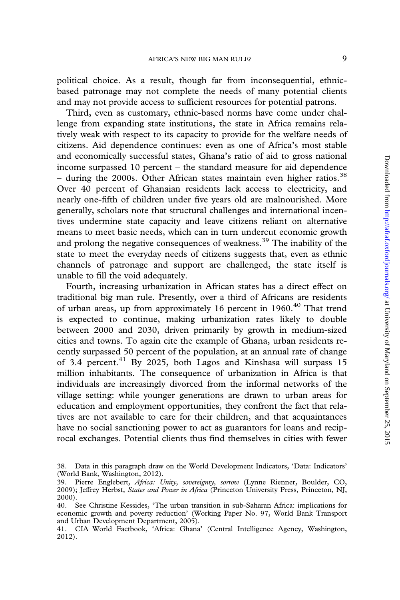political choice. As a result, though far from inconsequential, ethnicbased patronage may not complete the needs of many potential clients and may not provide access to sufficient resources for potential patrons.

Third, even as customary, ethnic-based norms have come under challenge from expanding state institutions, the state in Africa remains relatively weak with respect to its capacity to provide for the welfare needs of citizens. Aid dependence continues: even as one of Africa's most stable and economically successful states, Ghana's ratio of aid to gross national income surpassed 10 percent – the standard measure for aid dependence – during the 2000s. Other African states maintain even higher ratios.<sup>38</sup> Over 40 percent of Ghanaian residents lack access to electricity, and nearly one-fifth of children under five years old are malnourished. More generally, scholars note that structural challenges and international incentives undermine state capacity and leave citizens reliant on alternative means to meet basic needs, which can in turn undercut economic growth and prolong the negative consequences of weakness.<sup>39</sup> The inability of the state to meet the everyday needs of citizens suggests that, even as ethnic channels of patronage and support are challenged, the state itself is unable to fill the void adequately.

Fourth, increasing urbanization in African states has a direct effect on traditional big man rule. Presently, over a third of Africans are residents of urban areas, up from approximately 16 percent in 1960.<sup>40</sup> That trend is expected to continue, making urbanization rates likely to double between 2000 and 2030, driven primarily by growth in medium-sized cities and towns. To again cite the example of Ghana, urban residents recently surpassed 50 percent of the population, at an annual rate of change of 3.4 percent.<sup>41</sup> By 2025, both Lagos and Kinshasa will surpass  $15$ million inhabitants. The consequence of urbanization in Africa is that individuals are increasingly divorced from the informal networks of the village setting: while younger generations are drawn to urban areas for education and employment opportunities, they confront the fact that relatives are not available to care for their children, and that acquaintances have no social sanctioning power to act as guarantors for loans and reciprocal exchanges. Potential clients thus find themselves in cities with fewer

<sup>38.</sup> Data in this paragraph draw on the World Development Indicators, 'Data: Indicators' (World Bank, Washington, 2012).

<sup>39.</sup> Pierre Englebert, Africa: Unity, sovereignty, sorrow (Lynne Rienner, Boulder, CO, 2009); Jeffrey Herbst, States and Power in Africa (Princeton University Press, Princeton, NJ, 2000).

<sup>40.</sup> See Christine Kessides, 'The urban transition in sub-Saharan Africa: implications for economic growth and poverty reduction' (Working Paper No. 97, World Bank Transport and Urban Development Department, 2005).

<sup>41.</sup> CIA World Factbook, 'Africa: Ghana' (Central Intelligence Agency, Washington, 2012).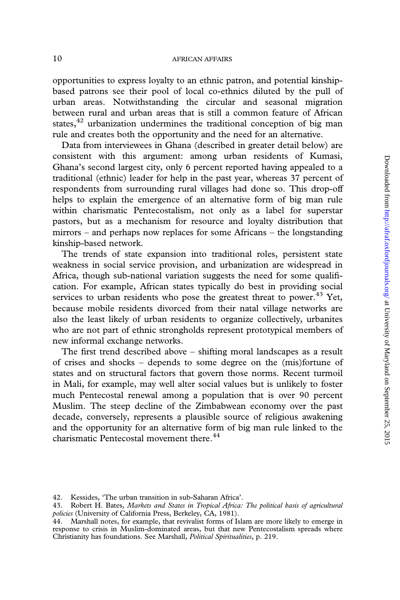opportunities to express loyalty to an ethnic patron, and potential kinshipbased patrons see their pool of local co-ethnics diluted by the pull of urban areas. Notwithstanding the circular and seasonal migration between rural and urban areas that is still a common feature of African states, $42$  urbanization undermines the traditional conception of big man rule and creates both the opportunity and the need for an alternative.

Data from interviewees in Ghana (described in greater detail below) are consistent with this argument: among urban residents of Kumasi, Ghana's second largest city, only 6 percent reported having appealed to a traditional (ethnic) leader for help in the past year, whereas 37 percent of respondents from surrounding rural villages had done so. This drop-off helps to explain the emergence of an alternative form of big man rule within charismatic Pentecostalism, not only as a label for superstar pastors, but as a mechanism for resource and loyalty distribution that mirrors – and perhaps now replaces for some Africans – the longstanding kinship-based network.

The trends of state expansion into traditional roles, persistent state weakness in social service provision, and urbanization are widespread in Africa, though sub-national variation suggests the need for some qualification. For example, African states typically do best in providing social services to urban residents who pose the greatest threat to power. $43$  Yet, because mobile residents divorced from their natal village networks are also the least likely of urban residents to organize collectively, urbanites who are not part of ethnic strongholds represent prototypical members of new informal exchange networks.

The first trend described above – shifting moral landscapes as a result of crises and shocks – depends to some degree on the (mis)fortune of states and on structural factors that govern those norms. Recent turmoil in Mali, for example, may well alter social values but is unlikely to foster much Pentecostal renewal among a population that is over 90 percent Muslim. The steep decline of the Zimbabwean economy over the past decade, conversely, represents a plausible source of religious awakening and the opportunity for an alternative form of big man rule linked to the charismatic Pentecostal movement there.<sup>44</sup>

42. Kessides, 'The urban transition in sub-Saharan Africa'.

43. Robert H. Bates, Markets and States in Tropical Africa: The political basis of agricultural policies (University of California Press, Berkeley, CA, 1981).

44. Marshall notes, for example, that revivalist forms of Islam are more likely to emerge in response to crisis in Muslim-dominated areas, but that new Pentecostalism spreads where Christianity has foundations. See Marshall, Political Spiritualities, p. 219.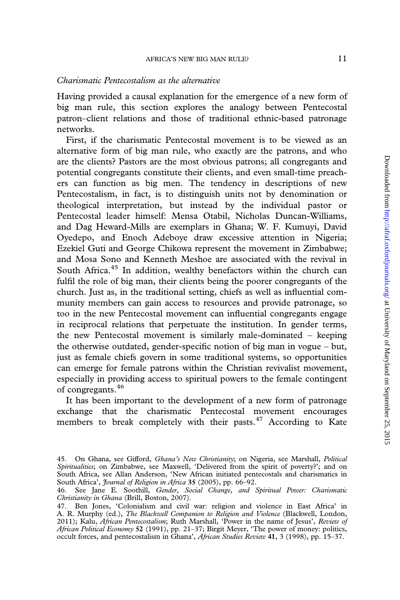#### Charismatic Pentecostalism as the alternative

Having provided a causal explanation for the emergence of a new form of big man rule, this section explores the analogy between Pentecostal patron–client relations and those of traditional ethnic-based patronage networks.

First, if the charismatic Pentecostal movement is to be viewed as an alternative form of big man rule, who exactly are the patrons, and who are the clients? Pastors are the most obvious patrons; all congregants and potential congregants constitute their clients, and even small-time preachers can function as big men. The tendency in descriptions of new Pentecostalism, in fact, is to distinguish units not by denomination or theological interpretation, but instead by the individual pastor or Pentecostal leader himself: Mensa Otabil, Nicholas Duncan-Williams, and Dag Heward-Mills are exemplars in Ghana; W. F. Kumuyi, David Oyedepo, and Enoch Adeboye draw excessive attention in Nigeria; Ezekiel Guti and George Chikowa represent the movement in Zimbabwe; and Mosa Sono and Kenneth Meshoe are associated with the revival in South Africa.<sup>45</sup> In addition, wealthy benefactors within the church can fulfil the role of big man, their clients being the poorer congregants of the church. Just as, in the traditional setting, chiefs as well as influential community members can gain access to resources and provide patronage, so too in the new Pentecostal movement can influential congregants engage in reciprocal relations that perpetuate the institution. In gender terms, the new Pentecostal movement is similarly male-dominated – keeping the otherwise outdated, gender-specific notion of big man in vogue – but, just as female chiefs govern in some traditional systems, so opportunities can emerge for female patrons within the Christian revivalist movement, especially in providing access to spiritual powers to the female contingent of congregants.<sup>46</sup>

It has been important to the development of a new form of patronage exchange that the charismatic Pentecostal movement encourages members to break completely with their pasts.<sup>47</sup> According to Kate

<sup>45.</sup> On Ghana, see Gifford, Ghana's New Christianity; on Nigeria, see Marshall, Political Spiritualities; on Zimbabwe, see Maxwell, 'Delivered from the spirit of poverty?'; and on South Africa, see Allan Anderson, 'New African initiated pentecostals and charismatics in South Africa', *Journal of Religion in Africa* 35 (2005), pp. 66-92.

<sup>46.</sup> See Jane E. Soothill, Gender, Social Change, and Spiritual Power: Charismatic Christianity in Ghana (Brill, Boston, 2007).

<sup>47.</sup> Ben Jones, 'Colonialism and civil war: religion and violence in East Africa' in A. R. Murphy (ed.), The Blackwell Companion to Religion and Violence (Blackwell, London, 2011); Kalu, African Pentecostalism; Ruth Marshall, 'Power in the name of Jesus', Review of African Political Economy 52 (1991), pp. 21–37; Birgit Meyer, 'The power of money: politics, occult forces, and pentecostalism in Ghana', African Studies Review 41, 3 (1998), pp. 15–37.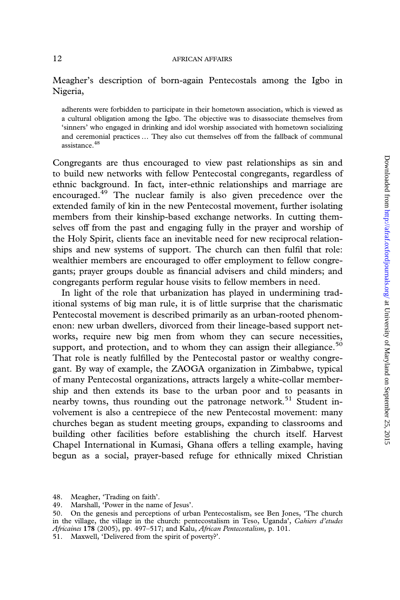# Meagher's description of born-again Pentecostals among the Igbo in Nigeria,

adherents were forbidden to participate in their hometown association, which is viewed as a cultural obligation among the Igbo. The objective was to disassociate themselves from 'sinners' who engaged in drinking and idol worship associated with hometown socializing and ceremonial practices … They also cut themselves off from the fallback of communal assistance.48

Congregants are thus encouraged to view past relationships as sin and to build new networks with fellow Pentecostal congregants, regardless of ethnic background. In fact, inter-ethnic relationships and marriage are encouraged.<sup>49</sup> The nuclear family is also given precedence over the extended family of kin in the new Pentecostal movement, further isolating members from their kinship-based exchange networks. In cutting themselves off from the past and engaging fully in the prayer and worship of the Holy Spirit, clients face an inevitable need for new reciprocal relationships and new systems of support. The church can then fulfil that role: wealthier members are encouraged to offer employment to fellow congregants; prayer groups double as financial advisers and child minders; and congregants perform regular house visits to fellow members in need.

In light of the role that urbanization has played in undermining traditional systems of big man rule, it is of little surprise that the charismatic Pentecostal movement is described primarily as an urban-rooted phenomenon: new urban dwellers, divorced from their lineage-based support networks, require new big men from whom they can secure necessities, support, and protection, and to whom they can assign their allegiance.<sup>50</sup> That role is neatly fulfilled by the Pentecostal pastor or wealthy congregant. By way of example, the ZAOGA organization in Zimbabwe, typical of many Pentecostal organizations, attracts largely a white-collar membership and then extends its base to the urban poor and to peasants in nearby towns, thus rounding out the patronage network.<sup>51</sup> Student involvement is also a centrepiece of the new Pentecostal movement: many churches began as student meeting groups, expanding to classrooms and building other facilities before establishing the church itself. Harvest Chapel International in Kumasi, Ghana offers a telling example, having begun as a social, prayer-based refuge for ethnically mixed Christian

<sup>48.</sup> Meagher, 'Trading on faith'.

<sup>49.</sup> Marshall, 'Power in the name of Jesus'.

<sup>50.</sup> On the genesis and perceptions of urban Pentecostalism, see Ben Jones, 'The church in the village, the village in the church: pentecostalism in Teso, Uganda', Cahiers d'etudes Africaines 178 (2005), pp. 497-517; and Kalu, African Pentecostalism, p. 101.

<sup>51.</sup> Maxwell, 'Delivered from the spirit of poverty?'.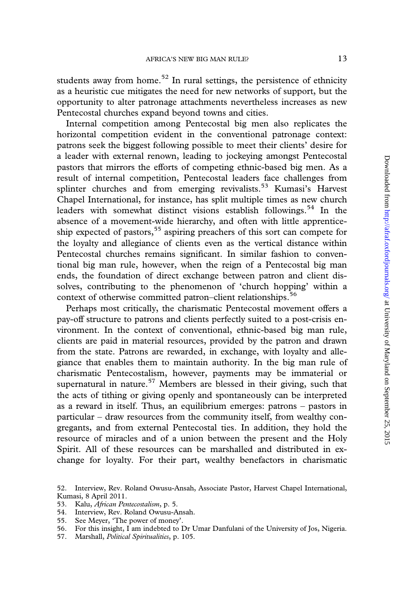students away from home.<sup>52</sup> In rural settings, the persistence of ethnicity as a heuristic cue mitigates the need for new networks of support, but the opportunity to alter patronage attachments nevertheless increases as new Pentecostal churches expand beyond towns and cities.

Internal competition among Pentecostal big men also replicates the horizontal competition evident in the conventional patronage context: patrons seek the biggest following possible to meet their clients' desire for a leader with external renown, leading to jockeying amongst Pentecostal pastors that mirrors the efforts of competing ethnic-based big men. As a result of internal competition, Pentecostal leaders face challenges from splinter churches and from emerging revivalists.<sup>53</sup> Kumasi's Harvest Chapel International, for instance, has split multiple times as new church leaders with somewhat distinct visions establish followings.<sup>54</sup> In the absence of a movement-wide hierarchy, and often with little apprenticeship expected of pastors,<sup>55</sup> aspiring preachers of this sort can compete for the loyalty and allegiance of clients even as the vertical distance within Pentecostal churches remains significant. In similar fashion to conventional big man rule, however, when the reign of a Pentecostal big man ends, the foundation of direct exchange between patron and client dissolves, contributing to the phenomenon of 'church hopping' within a context of otherwise committed patron–client relationships.<sup>56</sup>

Perhaps most critically, the charismatic Pentecostal movement offers a pay-off structure to patrons and clients perfectly suited to a post-crisis environment. In the context of conventional, ethnic-based big man rule, clients are paid in material resources, provided by the patron and drawn from the state. Patrons are rewarded, in exchange, with loyalty and allegiance that enables them to maintain authority. In the big man rule of charismatic Pentecostalism, however, payments may be immaterial or supernatural in nature.<sup>57</sup> Members are blessed in their giving, such that the acts of tithing or giving openly and spontaneously can be interpreted as a reward in itself. Thus, an equilibrium emerges: patrons – pastors in particular – draw resources from the community itself, from wealthy congregants, and from external Pentecostal ties. In addition, they hold the resource of miracles and of a union between the present and the Holy Spirit. All of these resources can be marshalled and distributed in exchange for loyalty. For their part, wealthy benefactors in charismatic

<sup>52.</sup> Interview, Rev. Roland Owusu-Ansah, Associate Pastor, Harvest Chapel International, Kumasi, 8 April 2011.

<sup>53.</sup> Kalu, African Pentecostalism, p. 5.

<sup>54.</sup> Interview, Rev. Roland Owusu-Ansah.

<sup>55.</sup> See Meyer, 'The power of money'.

<sup>56.</sup> For this insight, I am indebted to Dr Umar Danfulani of the University of Jos, Nigeria.

<sup>57.</sup> Marshall, Political Spiritualities, p. 105.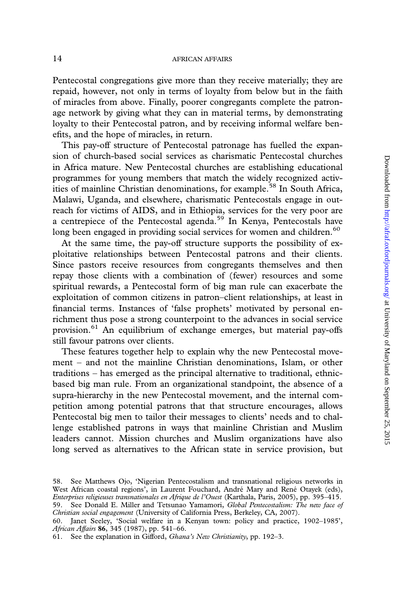Pentecostal congregations give more than they receive materially; they are repaid, however, not only in terms of loyalty from below but in the faith of miracles from above. Finally, poorer congregants complete the patronage network by giving what they can in material terms, by demonstrating loyalty to their Pentecostal patron, and by receiving informal welfare benefits, and the hope of miracles, in return.

This pay-off structure of Pentecostal patronage has fuelled the expansion of church-based social services as charismatic Pentecostal churches in Africa mature. New Pentecostal churches are establishing educational programmes for young members that match the widely recognized activities of mainline Christian denominations, for example.<sup>58</sup> In South Africa, Malawi, Uganda, and elsewhere, charismatic Pentecostals engage in outreach for victims of AIDS, and in Ethiopia, services for the very poor are a centrepiece of the Pentecostal agenda.<sup>59</sup> In Kenya, Pentecostals have long been engaged in providing social services for women and children.<sup>60</sup>

At the same time, the pay-off structure supports the possibility of exploitative relationships between Pentecostal patrons and their clients. Since pastors receive resources from congregants themselves and then repay those clients with a combination of (fewer) resources and some spiritual rewards, a Pentecostal form of big man rule can exacerbate the exploitation of common citizens in patron–client relationships, at least in financial terms. Instances of 'false prophets' motivated by personal enrichment thus pose a strong counterpoint to the advances in social service provision.<sup>61</sup> An equilibrium of exchange emerges, but material pay-offs still favour patrons over clients.

These features together help to explain why the new Pentecostal movement – and not the mainline Christian denominations, Islam, or other traditions – has emerged as the principal alternative to traditional, ethnicbased big man rule. From an organizational standpoint, the absence of a supra-hierarchy in the new Pentecostal movement, and the internal competition among potential patrons that that structure encourages, allows Pentecostal big men to tailor their messages to clients' needs and to challenge established patrons in ways that mainline Christian and Muslim leaders cannot. Mission churches and Muslim organizations have also long served as alternatives to the African state in service provision, but

<sup>58.</sup> See Matthews Ojo, 'Nigerian Pentecostalism and transnational religious networks in West African coastal regions', in Laurent Fouchard, André Mary and René Otayek (eds), Enterprises religieuses transnationales en Afrique de l'Ouest (Karthala, Paris, 2005), pp. 395–415.

<sup>59.</sup> See Donald E. Miller and Tetsunao Yamamori, Global Pentecostalism: The new face of Christian social engagement (University of California Press, Berkeley, CA, 2007).

<sup>60.</sup> Janet Seeley, 'Social welfare in a Kenyan town: policy and practice, 1902–1985', African Affairs 86, 345 (1987), pp. 541-66.

<sup>61.</sup> See the explanation in Gifford, Ghana's New Christianity, pp. 192–3.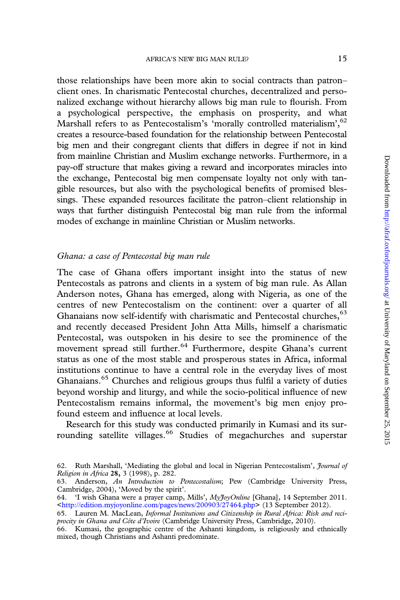those relationships have been more akin to social contracts than patron– client ones. In charismatic Pentecostal churches, decentralized and personalized exchange without hierarchy allows big man rule to flourish. From a psychological perspective, the emphasis on prosperity, and what Marshall refers to as Pentecostalism's 'morally controlled materialism', 62 creates a resource-based foundation for the relationship between Pentecostal big men and their congregant clients that differs in degree if not in kind from mainline Christian and Muslim exchange networks. Furthermore, in a pay-off structure that makes giving a reward and incorporates miracles into the exchange, Pentecostal big men compensate loyalty not only with tangible resources, but also with the psychological benefits of promised blessings. These expanded resources facilitate the patron–client relationship in ways that further distinguish Pentecostal big man rule from the informal modes of exchange in mainline Christian or Muslim networks.

#### Ghana: a case of Pentecostal big man rule

The case of Ghana offers important insight into the status of new Pentecostals as patrons and clients in a system of big man rule. As Allan Anderson notes, Ghana has emerged, along with Nigeria, as one of the centres of new Pentecostalism on the continent: over a quarter of all Ghanaians now self-identify with charismatic and Pentecostal churches, <sup>63</sup> and recently deceased President John Atta Mills, himself a charismatic Pentecostal, was outspoken in his desire to see the prominence of the movement spread still further.<sup>64</sup> Furthermore, despite Ghana's current status as one of the most stable and prosperous states in Africa, informal institutions continue to have a central role in the everyday lives of most Ghanaians.<sup>65</sup> Churches and religious groups thus fulfil a variety of duties beyond worship and liturgy, and while the socio-political influence of new Pentecostalism remains informal, the movement's big men enjoy profound esteem and influence at local levels.

Research for this study was conducted primarily in Kumasi and its surrounding satellite villages.<sup>66</sup> Studies of megachurches and superstar

<sup>62.</sup> Ruth Marshall, 'Mediating the global and local in Nigerian Pentecostalism', Journal of Religion in Africa 28, 3 (1998), p. 282.

<sup>63.</sup> Anderson, An Introduction to Pentecostalism; Pew (Cambridge University Press, Cambridge, 2004), 'Moved by the spirit'.

<sup>64. &#</sup>x27;I wish Ghana were a prayer camp, Mills',  $Mv\gamma\gamma\omega$ Online [Ghana], 14 September 2011. [<http://edition.myjoyonline.com/pages/news/200903/27464.php](http://edition.myjoyonline.com/pages/news/200903/27464.php)> (13 September 2012).

<sup>65.</sup> Lauren M. MacLean, Informal Institutions and Citizenship in Rural Africa: Risk and reciprocity in Ghana and Côte d'Ivoire (Cambridge University Press, Cambridge, 2010).

<sup>66.</sup> Kumasi, the geographic centre of the Ashanti kingdom, is religiously and ethnically mixed, though Christians and Ashanti predominate.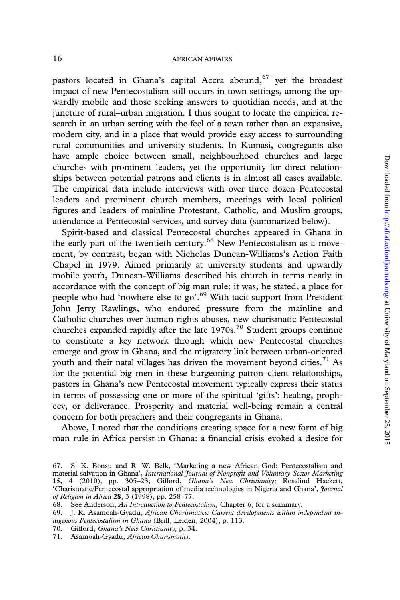#### 16 **AFRICAN AFFAIRS**

pastors located in Ghana's capital Accra abound,  $67$  yet the broadest impact of new Pentecostalism still occurs in town settings, among the upwardly mobile and those seeking answers to quotidian needs, and at the juncture of rural–urban migration. I thus sought to locate the empirical research in an urban setting with the feel of a town rather than an expansive, modern city, and in a place that would provide easy access to surrounding rural communities and university students. In Kumasi, congregants also have ample choice between small, neighbourhood churches and large churches with prominent leaders, yet the opportunity for direct relationships between potential patrons and clients is in almost all cases available. The empirical data include interviews with over three dozen Pentecostal leaders and prominent church members, meetings with local political figures and leaders of mainline Protestant, Catholic, and Muslim groups, attendance at Pentecostal services, and survey data (summarized below).

Spirit-based and classical Pentecostal churches appeared in Ghana in the early part of the twentieth century.<sup>68</sup> New Pentecostalism as a movement, by contrast, began with Nicholas Duncan-Williams's Action Faith Chapel in 1979. Aimed primarily at university students and upwardly mobile youth, Duncan-Williams described his church in terms neatly in accordance with the concept of big man rule: it was, he stated, a place for people who had 'nowhere else to go'.<sup>69</sup> With tacit support from President John Jerry Rawlings, who endured pressure from the mainline and Catholic churches over human rights abuses, new charismatic Pentecostal churches expanded rapidly after the late  $1970s$ .<sup>70</sup> Student groups continue to constitute a key network through which new Pentecostal churches emerge and grow in Ghana, and the migratory link between urban-oriented youth and their natal villages has driven the movement beyond cities.<sup>71</sup> As for the potential big men in these burgeoning patron–client relationships, pastors in Ghana's new Pentecostal movement typically express their status in terms of possessing one or more of the spiritual 'gifts': healing, prophecy, or deliverance. Prosperity and material well-being remain a central concern for both preachers and their congregants in Ghana.

Above, I noted that the conditions creating space for a new form of big man rule in Africa persist in Ghana: a financial crisis evoked a desire for

<sup>67.</sup> S. K. Bonsu and R. W. Belk, 'Marketing a new African God: Pentecostalism and material salvation in Ghana', International Journal of Nonprofit and Voluntary Sector Marketing 15, 4 (2010), pp. 305–23; Gifford, Ghana's New Christianity; Rosalind Hackett, 'Charismatic/Pentecostal appropriation of media technologies in Nigeria and Ghana', Journal of Religion in Africa 28, 3 (1998), pp. 258–77.

<sup>68.</sup> See Anderson, An Introduction to Pentecostalism, Chapter 6, for a summary.

<sup>69.</sup> J. K. Asamoah-Gyadu, African Charismatics: Current developments within independent indigenous Pentecostalism in Ghana (Brill, Leiden, 2004), p. 113.

<sup>70.</sup> Gifford, Ghana's New Christianity, p. 34.

<sup>71.</sup> Asamoah-Gyadu, African Charismatics.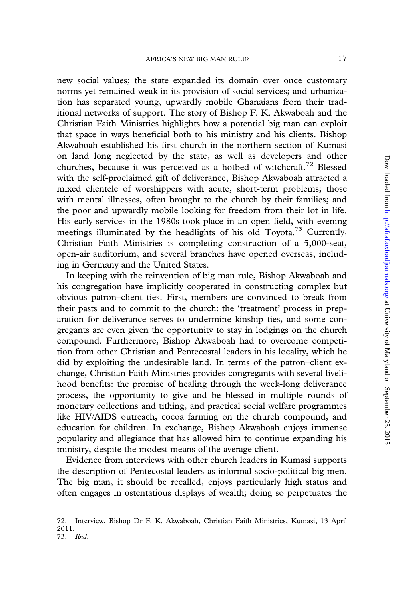new social values; the state expanded its domain over once customary norms yet remained weak in its provision of social services; and urbanization has separated young, upwardly mobile Ghanaians from their traditional networks of support. The story of Bishop F. K. Akwaboah and the Christian Faith Ministries highlights how a potential big man can exploit that space in ways beneficial both to his ministry and his clients. Bishop Akwaboah established his first church in the northern section of Kumasi on land long neglected by the state, as well as developers and other churches, because it was perceived as a hotbed of witchcraft.<sup>72</sup> Blessed with the self-proclaimed gift of deliverance, Bishop Akwaboah attracted a mixed clientele of worshippers with acute, short-term problems; those with mental illnesses, often brought to the church by their families; and the poor and upwardly mobile looking for freedom from their lot in life. His early services in the 1980s took place in an open field, with evening meetings illuminated by the headlights of his old Toyota.<sup>73</sup> Currently, Christian Faith Ministries is completing construction of a 5,000-seat, open-air auditorium, and several branches have opened overseas, including in Germany and the United States.

In keeping with the reinvention of big man rule, Bishop Akwaboah and his congregation have implicitly cooperated in constructing complex but obvious patron–client ties. First, members are convinced to break from their pasts and to commit to the church: the 'treatment' process in preparation for deliverance serves to undermine kinship ties, and some congregants are even given the opportunity to stay in lodgings on the church compound. Furthermore, Bishop Akwaboah had to overcome competition from other Christian and Pentecostal leaders in his locality, which he did by exploiting the undesirable land. In terms of the patron–client exchange, Christian Faith Ministries provides congregants with several livelihood benefits: the promise of healing through the week-long deliverance process, the opportunity to give and be blessed in multiple rounds of monetary collections and tithing, and practical social welfare programmes like HIV/AIDS outreach, cocoa farming on the church compound, and education for children. In exchange, Bishop Akwaboah enjoys immense popularity and allegiance that has allowed him to continue expanding his ministry, despite the modest means of the average client.

Evidence from interviews with other church leaders in Kumasi supports the description of Pentecostal leaders as informal socio-political big men. The big man, it should be recalled, enjoys particularly high status and often engages in ostentatious displays of wealth; doing so perpetuates the

73. Ibid.

<sup>72.</sup> Interview, Bishop Dr F. K. Akwaboah, Christian Faith Ministries, Kumasi, 13 April 2011.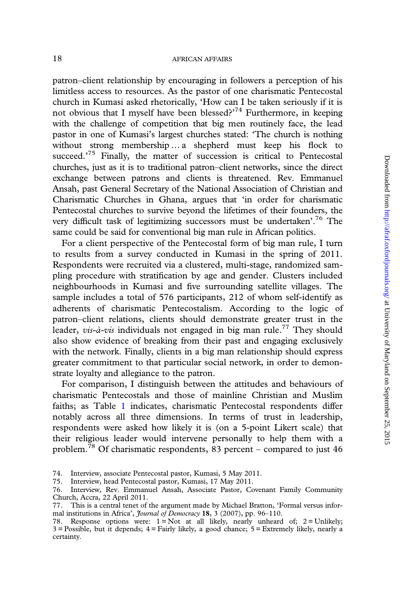patron–client relationship by encouraging in followers a perception of his limitless access to resources. As the pastor of one charismatic Pentecostal church in Kumasi asked rhetorically, 'How can I be taken seriously if it is not obvious that I myself have been blessed?'<sup>74</sup> Furthermore, in keeping with the challenge of competition that big men routinely face, the lead pastor in one of Kumasi's largest churches stated: 'The church is nothing without strong membership ... a shepherd must keep his flock to succeed.<sup>75</sup> Finally, the matter of succession is critical to Pentecostal churches, just as it is to traditional patron–client networks, since the direct exchange between patrons and clients is threatened. Rev. Emmanuel Ansah, past General Secretary of the National Association of Christian and Charismatic Churches in Ghana, argues that 'in order for charismatic Pentecostal churches to survive beyond the lifetimes of their founders, the very difficult task of legitimizing successors must be undertaken'. <sup>76</sup> The same could be said for conventional big man rule in African politics.

For a client perspective of the Pentecostal form of big man rule, I turn to results from a survey conducted in Kumasi in the spring of 2011. Respondents were recruited via a clustered, multi-stage, randomized sampling procedure with stratification by age and gender. Clusters included neighbourhoods in Kumasi and five surrounding satellite villages. The sample includes a total of 576 participants, 212 of whom self-identify as adherents of charismatic Pentecostalism. According to the logic of patron–client relations, clients should demonstrate greater trust in the leader, *vis-à-vis* individuals not engaged in big man rule.<sup>77</sup> They should also show evidence of breaking from their past and engaging exclusively with the network. Finally, clients in a big man relationship should express greater commitment to that particular social network, in order to demonstrate loyalty and allegiance to the patron.

For comparison, I distinguish between the attitudes and behaviours of charismatic Pentecostals and those of mainline Christian and Muslim faiths; as Table [1](#page-18-0) indicates, charismatic Pentecostal respondents differ notably across all three dimensions. In terms of trust in leadership, respondents were asked how likely it is (on a 5-point Likert scale) that their religious leader would intervene personally to help them with a problem.<sup>78</sup> Of charismatic respondents,  $\overline{83}$  percent – compared to just 46

<sup>74.</sup> Interview, associate Pentecostal pastor, Kumasi, 5 May 2011.

<sup>75.</sup> Interview, head Pentecostal pastor, Kumasi, 17 May 2011.

<sup>76.</sup> Interview, Rev. Emmanuel Ansah, Associate Pastor, Covenant Family Community Church, Accra, 22 April 2011.

<sup>77.</sup> This is a central tenet of the argument made by Michael Bratton, 'Formal versus informal institutions in Africa', *Journal of Democracy* 18, 3 (2007), pp. 96-110.

<sup>78.</sup> Response options were:  $1 = Not$  at all likely, nearly unheard of;  $2 = Unlikely$ ;  $3 =$  Possible, but it depends;  $4 =$  Fairly likely, a good chance;  $5 =$  Extremely likely, nearly a certainty.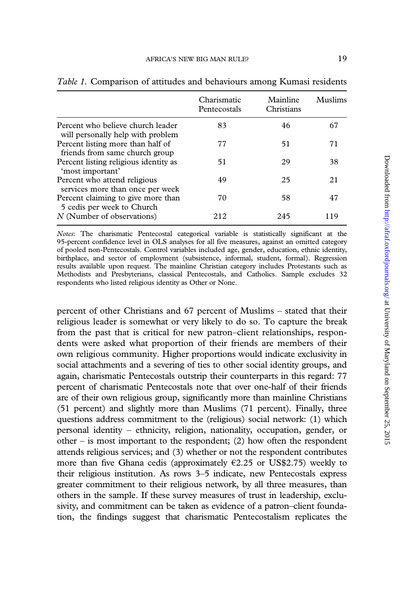|                                                                        | Charismatic<br>Pentecostals | Mainline<br>Christians | Muslims |
|------------------------------------------------------------------------|-----------------------------|------------------------|---------|
| Percent who believe church leader<br>will personally help with problem | 83                          | 46                     | 67      |
| Percent listing more than half of<br>friends from same church group    | 77                          | 51                     | 71      |
| Percent listing religious identity as<br>'most important'              | 51                          | 29                     | 38      |
| Percent who attend religious<br>services more than once per week       | 49                          | 25                     | 21      |
| Percent claiming to give more than<br>5 cedis per week to Church       | 70                          | 58                     | 47      |
| $N$ (Number of observations)                                           | 212                         | 245                    | 119     |

<span id="page-18-0"></span>Table 1. Comparison of attitudes and behaviours among Kumasi residents

Notes: The charismatic Pentecostal categorical variable is statistically significant at the 95-percent confidence level in OLS analyses for all five measures, against an omitted category of pooled non-Pentecostals. Control variables included age, gender, education, ethnic identity, birthplace, and sector of employment (subsistence, informal, student, formal). Regression results available upon request. The mainline Christian category includes Protestants such as Methodists and Presbyterians, classical Pentecostals, and Catholics. Sample excludes 32 respondents who listed religious identity as Other or None.

percent of other Christians and 67 percent of Muslims – stated that their religious leader is somewhat or very likely to do so. To capture the break from the past that is critical for new patron–client relationships, respondents were asked what proportion of their friends are members of their own religious community. Higher proportions would indicate exclusivity in social attachments and a severing of ties to other social identity groups, and again, charismatic Pentecostals outstrip their counterparts in this regard: 77 percent of charismatic Pentecostals note that over one-half of their friends are of their own religious group, significantly more than mainline Christians (51 percent) and slightly more than Muslims (71 percent). Finally, three questions address commitment to the (religious) social network: (1) which personal identity – ethnicity, religion, nationality, occupation, gender, or other – is most important to the respondent;  $(2)$  how often the respondent attends religious services; and (3) whether or not the respondent contributes more than five Ghana cedis (approximately  $E2.25$  or US\$2.75) weekly to their religious institution. As rows 3–5 indicate, new Pentecostals express greater commitment to their religious network, by all three measures, than others in the sample. If these survey measures of trust in leadership, exclusivity, and commitment can be taken as evidence of a patron–client foundation, the findings suggest that charismatic Pentecostalism replicates the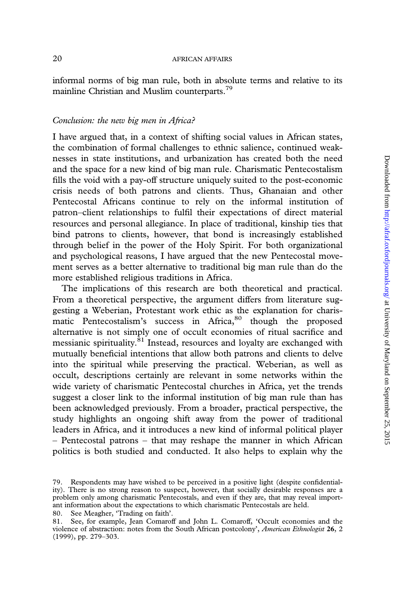informal norms of big man rule, both in absolute terms and relative to its mainline Christian and Muslim counterparts.79

# Conclusion: the new big men in Africa?

I have argued that, in a context of shifting social values in African states, the combination of formal challenges to ethnic salience, continued weaknesses in state institutions, and urbanization has created both the need and the space for a new kind of big man rule. Charismatic Pentecostalism fills the void with a pay-off structure uniquely suited to the post-economic crisis needs of both patrons and clients. Thus, Ghanaian and other Pentecostal Africans continue to rely on the informal institution of patron–client relationships to fulfil their expectations of direct material resources and personal allegiance. In place of traditional, kinship ties that bind patrons to clients, however, that bond is increasingly established through belief in the power of the Holy Spirit. For both organizational and psychological reasons, I have argued that the new Pentecostal movement serves as a better alternative to traditional big man rule than do the more established religious traditions in Africa.

The implications of this research are both theoretical and practical. From a theoretical perspective, the argument differs from literature suggesting a Weberian, Protestant work ethic as the explanation for charismatic Pentecostalism's success in Africa,<sup>80</sup> though the proposed alternative is not simply one of occult economies of ritual sacrifice and messianic spirituality.<sup>81</sup> Instead, resources and loyalty are exchanged with mutually beneficial intentions that allow both patrons and clients to delve into the spiritual while preserving the practical. Weberian, as well as occult, descriptions certainly are relevant in some networks within the wide variety of charismatic Pentecostal churches in Africa, yet the trends suggest a closer link to the informal institution of big man rule than has been acknowledged previously. From a broader, practical perspective, the study highlights an ongoing shift away from the power of traditional leaders in Africa, and it introduces a new kind of informal political player – Pentecostal patrons – that may reshape the manner in which African politics is both studied and conducted. It also helps to explain why the

<sup>79.</sup> Respondents may have wished to be perceived in a positive light (despite confidentiality). There is no strong reason to suspect, however, that socially desirable responses are a problem only among charismatic Pentecostals, and even if they are, that may reveal important information about the expectations to which charismatic Pentecostals are held.

<sup>80.</sup> See Meagher, 'Trading on faith'.

<sup>81.</sup> See, for example, Jean Comaroff and John L. Comaroff, 'Occult economies and the violence of abstraction: notes from the South African postcolony', American Ethnologist 26, 2 (1999), pp. 279–303.